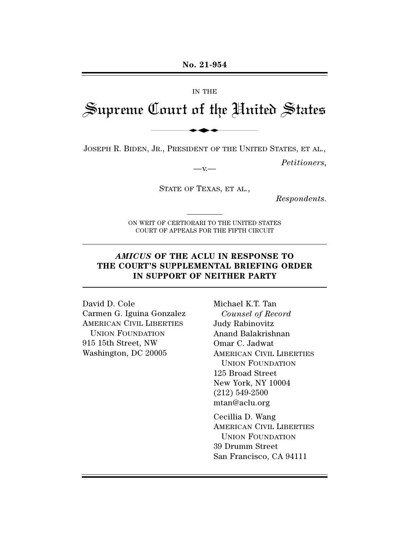#### IN THE

# Supreme Court of the United States No. 21-954<br>IN THE<br>Lourt of the Uni

JOSEPH R. BIDEN, JR., PRESIDENT OF THE UNITED STATES, ET AL.,

*Petitioners,* 

 $-x -$ STATE OF TEXAS, ET AL.,

*Respondents.* 

ON WRIT OF CERTIORARI TO THE UNITED STATES COURT OF APPEALS FOR THE FIFTH CIRCUIT

## *AMICUS* **OF THE ACLU IN RESPONSE TO THE COURT'S SUPPLEMENTAL BRIEFING ORDER IN SUPPORT OF NEITHER PARTY**

David D. Cole Carmen G. Iguina Gonzalez AMERICAN CIVIL LIBERTIES UNION FOUNDATION 915 15th Street, NW Washington, DC 20005

Michael K.T. Tan *Counsel of Record*  Judy Rabinovitz Anand Balakrishnan Omar C. Jadwat AMERICAN CIVIL LIBERTIES UNION FOUNDATION 125 Broad Street New York, NY 10004 (212) 549-2500 mtan@aclu.org Cecillia D. Wang AMERICAN CIVIL LIBERTIES UNION FOUNDATION

39 Drumm Street San Francisco, CA 94111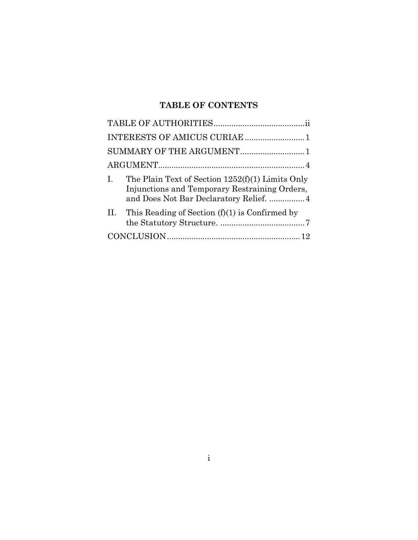# **TABLE OF CONTENTS**

| SUMMARY OF THE ARGUMENT1                                                                                                                                         |  |
|------------------------------------------------------------------------------------------------------------------------------------------------------------------|--|
|                                                                                                                                                                  |  |
| The Plain Text of Section $1252(f)(1)$ Limits Only<br>$\mathbf{I}$ .<br>Injunctions and Temporary Restraining Orders,<br>and Does Not Bar Declaratory Relief.  4 |  |
| II. This Reading of Section $(f)(1)$ is Confirmed by                                                                                                             |  |
|                                                                                                                                                                  |  |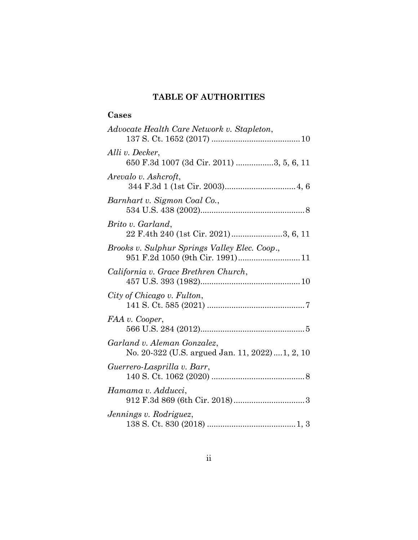# **TABLE OF AUTHORITIES**

## <span id="page-2-0"></span>**Cases**

| Advocate Health Care Network v. Stapleton,                                        |
|-----------------------------------------------------------------------------------|
| Alli v. Decker,<br>650 F.3d 1007 (3d Cir. 2011) 3, 5, 6, 11                       |
| Arevalo v. Ashcroft,                                                              |
| Barnhart v. Sigmon Coal Co.,                                                      |
| Brito v. Garland,<br>22 F.4th 240 (1st Cir. 2021)3, 6, 11                         |
| Brooks v. Sulphur Springs Valley Elec. Coop.,<br>951 F.2d 1050 (9th Cir. 1991) 11 |
| California v. Grace Brethren Church,                                              |
| City of Chicago v. Fulton,                                                        |
| FAA v. Cooper,                                                                    |
| Garland v. Aleman Gonzalez,<br>No. 20-322 (U.S. argued Jan. 11, 2022)1, 2, 10     |
| Guerrero-Lasprilla v. Barr,                                                       |
| Hamama v. Adducci,                                                                |
| Jennings v. Rodriguez,                                                            |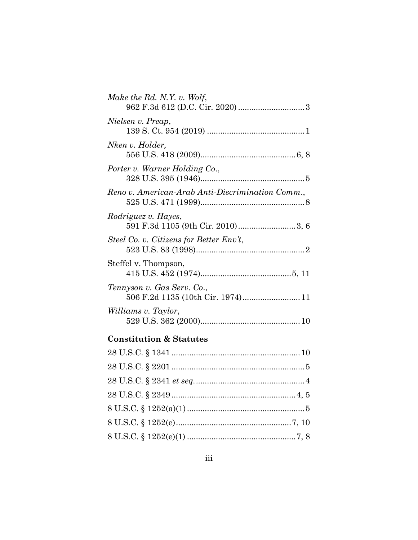| Make the Rd. N.Y. v. Wolf,                                      |
|-----------------------------------------------------------------|
| Nielsen v. Preap,                                               |
| Nken v. Holder,                                                 |
| Porter v. Warner Holding Co.,                                   |
| Reno v. American-Arab Anti-Discrimination Comm.,                |
| Rodriguez v. Hayes,<br>591 F.3d 1105 (9th Cir. 2010)3, 6        |
| Steel Co. v. Citizens for Better Env't,                         |
| Steffel v. Thompson,                                            |
| Tennyson v. Gas Serv. Co.,<br>506 F.2d 1135 (10th Cir. 1974) 11 |
| Williams v. Taylor,                                             |
| <b>Constitution &amp; Statutes</b>                              |
|                                                                 |
|                                                                 |
|                                                                 |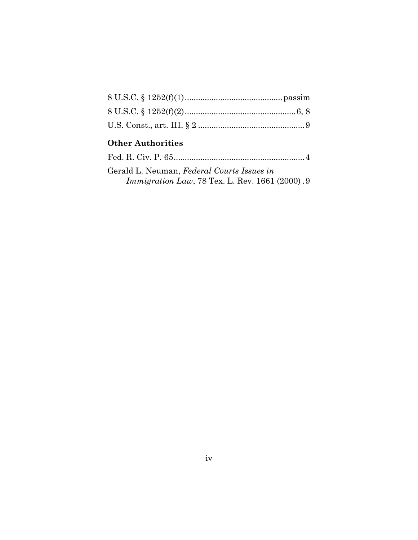# **Other Authorities**

| Gerald L. Neuman, Federal Courts Issues in             |
|--------------------------------------------------------|
| <i>Immigration Law</i> , 78 Tex. L. Rev. 1661 (2000).9 |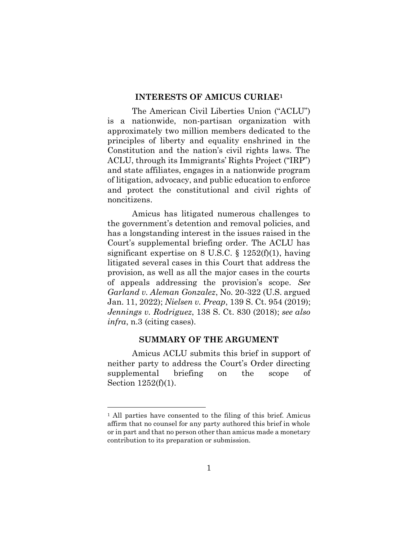#### **INTERESTS OF AMICUS CURIAE<sup>1</sup>**

<span id="page-5-0"></span>The American Civil Liberties Union ("ACLU") is a nationwide, non-partisan organization with approximately two million members dedicated to the principles of liberty and equality enshrined in the Constitution and the nation's civil rights laws. The ACLU, through its Immigrants' Rights Project ("IRP") and state affiliates, engages in a nationwide program of litigation, advocacy, and public education to enforce and protect the constitutional and civil rights of noncitizens.

Amicus has litigated numerous challenges to the government's detention and removal policies, and has a longstanding interest in the issues raised in the Court's supplemental briefing order. The ACLU has significant expertise on 8 U.S.C.  $\S$  1252(f)(1), having litigated several cases in this Court that address the provision, as well as all the major cases in the courts of appeals addressing the provision's scope. *See Garland v. Aleman Gonzalez*, No. 20-322 (U.S. argued Jan. 11, 2022); *Nielsen v. Preap*, 139 S. Ct. 954 (2019); *Jennings v. Rodriguez*, 138 S. Ct. 830 (2018); *see also infra*, n.3 (citing cases).

#### **SUMMARY OF THE ARGUMENT**

<span id="page-5-1"></span>Amicus ACLU submits this brief in support of neither party to address the Court's Order directing supplemental briefing on the scope of Section 1252(f)(1).

<sup>&</sup>lt;sup>1</sup> All parties have consented to the filing of this brief. Amicus affirm that no counsel for any party authored this brief in whole or in part and that no person other than amicus made a monetary contribution to its preparation or submission.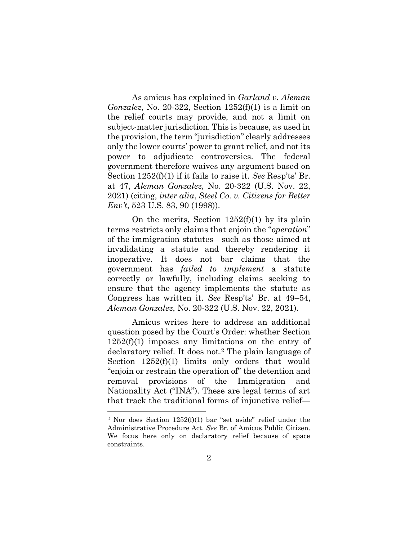As amicus has explained in *Garland v. Aleman Gonzalez*, No. 20-322, Section 1252(f)(1) is a limit on the relief courts may provide, and not a limit on subject-matter jurisdiction. This is because, as used in the provision, the term "jurisdiction" clearly addresses only the lower courts' power to grant relief, and not its power to adjudicate controversies. The federal government therefore waives any argument based on Section 1252(f)(1) if it fails to raise it. *See* Resp'ts' Br. at 47, *Aleman Gonzalez*, No. 20-322 (U.S. Nov. 22, 2021) (citing, *inter alia*, *Steel Co. v. Citizens for Better Env't*, 523 U.S. 83, 90 (1998)).

On the merits, Section  $1252(f)(1)$  by its plain terms restricts only claims that enjoin the "*operation*" of the immigration statutes—such as those aimed at invalidating a statute and thereby rendering it inoperative. It does not bar claims that the government has *failed to implement* a statute correctly or lawfully, including claims seeking to ensure that the agency implements the statute as Congress has written it. *See* Resp'ts' Br. at 49–54, *Aleman Gonzalez*, No. 20-322 (U.S. Nov. 22, 2021).

Amicus writes here to address an additional question posed by the Court's Order: whether Section 1252(f)(1) imposes any limitations on the entry of declaratory relief. It does not.<sup>2</sup> The plain language of Section  $1252(f)(1)$  limits only orders that would "enjoin or restrain the operation of" the detention and removal provisions of the Immigration and Nationality Act ("INA"). These are legal terms of art that track the traditional forms of injunctive relief—

<sup>2</sup> Nor does Section 1252(f)(1) bar "set aside" relief under the Administrative Procedure Act. *See* Br. of Amicus Public Citizen. We focus here only on declaratory relief because of space constraints.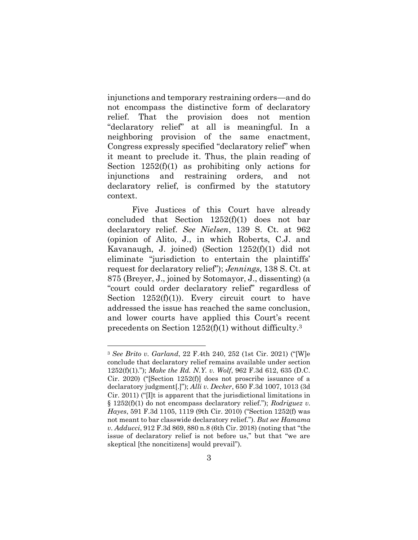injunctions and temporary restraining orders—and do not encompass the distinctive form of declaratory relief. That the provision does not mention "declaratory relief" at all is meaningful. In a neighboring provision of the same enactment, Congress expressly specified "declaratory relief" when it meant to preclude it. Thus, the plain reading of Section  $1252(f)(1)$  as prohibiting only actions for injunctions and restraining orders, and not declaratory relief, is confirmed by the statutory context.

Five Justices of this Court have already concluded that Section 1252(f)(1) does not bar declaratory relief. *See Nielsen*, 139 S. Ct. at 962 (opinion of Alito, J., in which Roberts, C.J. and Kavanaugh, J. joined) (Section 1252(f)(1) did not eliminate "jurisdiction to entertain the plaintiffs' request for declaratory relief"); *Jennings*, 138 S. Ct. at 875 (Breyer, J., joined by Sotomayor, J., dissenting) (a "court could order declaratory relief" regardless of Section  $1252(f)(1)$ ). Every circuit court to have addressed the issue has reached the same conclusion, and lower courts have applied this Court's recent precedents on Section 1252(f)(1) without difficulty.<sup>3</sup>

<sup>3</sup> *See Brito v. Garland*, 22 F.4th 240, 252 (1st Cir. 2021) ("[W]e conclude that declaratory relief remains available under section 1252(f)(1)."); *Make the Rd. N.Y. v. Wolf*, 962 F.3d 612, 635 (D.C. Cir. 2020) ("[Section 1252(f)] does not proscribe issuance of a declaratory judgment[.]"); *Alli v. Decker*, 650 F.3d 1007, 1013 (3d Cir. 2011) ("[I]t is apparent that the jurisdictional limitations in § 1252(f)(1) do not encompass declaratory relief."); *Rodriguez v. Hayes*, 591 F.3d 1105, 1119 (9th Cir. 2010) ("Section 1252(f) was not meant to bar classwide declaratory relief."). *But see Hamama v. Adducci*, 912 F.3d 869, 880 n.8 (6th Cir. 2018) (noting that "the issue of declaratory relief is not before us," but that "we are skeptical [the noncitizens] would prevail").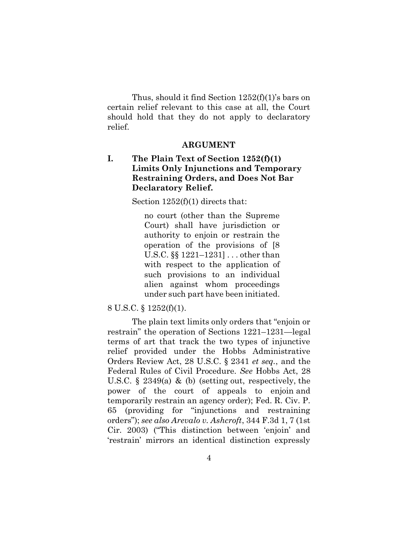Thus, should it find Section 1252(f)(1)'s bars on certain relief relevant to this case at all, the Court should hold that they do not apply to declaratory relief.

#### **ARGUMENT**

## <span id="page-8-1"></span><span id="page-8-0"></span>**I. The Plain Text of Section 1252(f)(1) Limits Only Injunctions and Temporary Restraining Orders, and Does Not Bar Declaratory Relief.**

Section 1252(f)(1) directs that:

no court (other than the Supreme Court) shall have jurisdiction or authority to enjoin or restrain the operation of the provisions of [8 U.S.C. §§ 1221–1231] . . . other than with respect to the application of such provisions to an individual alien against whom proceedings under such part have been initiated.

#### 8 U.S.C. § 1252(f)(1).

The plain text limits only orders that "enjoin or restrain" the operation of Sections 1221–1231—legal terms of art that track the two types of injunctive relief provided under the Hobbs Administrative Orders Review Act, 28 U.S.C. § 2341 *et seq.*, and the Federal Rules of Civil Procedure. *See* Hobbs Act, 28 U.S.C. § 2349(a) & (b) (setting out, respectively, the power of the court of appeals to enjoin and temporarily restrain an agency order); Fed. R. Civ. P. 65 (providing for "injunctions and restraining orders"); *see also Arevalo v. Ashcroft*, 344 F.3d 1, 7 (1st Cir. 2003) ("This distinction between 'enjoin' and 'restrain' mirrors an identical distinction expressly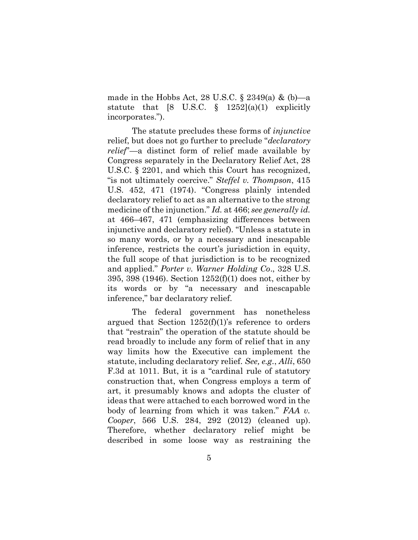made in the Hobbs Act, 28 U.S.C.  $\S$  2349(a) & (b)—a statute that [8 U.S.C.  $\S$  1252](a)(1) explicitly incorporates.").

The statute precludes these forms of *injunctive* relief, but does not go further to preclude "*declaratory relief*"—a distinct form of relief made available by Congress separately in the Declaratory Relief Act, 28 U.S.C. § 2201, and which this Court has recognized, "is not ultimately coercive." *Steffel v. Thompson*, 415 U.S. 452, 471 (1974). "Congress plainly intended declaratory relief to act as an alternative to the strong medicine of the injunction." *Id.* at 466; *see generally id.*  at 466–467, 471 (emphasizing differences between injunctive and declaratory relief). "Unless a statute in so many words, or by a necessary and inescapable inference, restricts the court's jurisdiction in equity, the full scope of that jurisdiction is to be recognized and applied." *Porter v. Warner Holding Co*., 328 U.S. 395, 398 (1946). Section 1252(f)(1) does not, either by its words or by "a necessary and inescapable inference," bar declaratory relief.

The federal government has nonetheless argued that Section  $1252(f)(1)$ 's reference to orders that "restrain" the operation of the statute should be read broadly to include any form of relief that in any way limits how the Executive can implement the statute, including declaratory relief. *See, e.g.*, *Alli*, 650 F.3d at 1011. But, it is a "cardinal rule of statutory construction that, when Congress employs a term of art, it presumably knows and adopts the cluster of ideas that were attached to each borrowed word in the body of learning from which it was taken." *FAA v. Cooper*, 566 U.S. 284, 292 (2012) (cleaned up). Therefore, whether declaratory relief might be described in some loose way as restraining the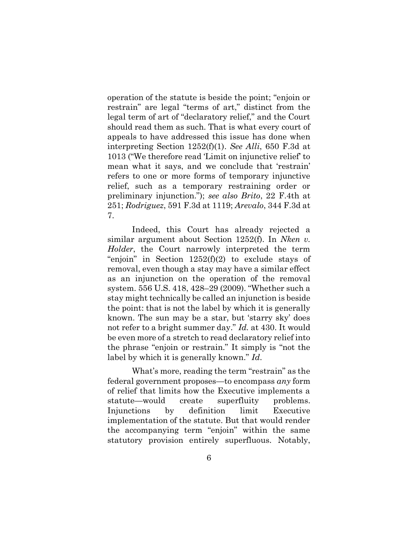operation of the statute is beside the point; "enjoin or restrain" are legal "terms of art," distinct from the legal term of art of "declaratory relief," and the Court should read them as such. That is what every court of appeals to have addressed this issue has done when interpreting Section 1252(f)(1). *See Alli*, 650 F.3d at 1013 ("We therefore read 'Limit on injunctive relief' to mean what it says, and we conclude that 'restrain' refers to one or more forms of temporary injunctive relief, such as a temporary restraining order or preliminary injunction."); *see also Brito*, 22 F.4th at 251; *Rodriguez*, 591 F.3d at 1119; *Arevalo*, 344 F.3d at 7.

Indeed, this Court has already rejected a similar argument about Section 1252(f). In *Nken v. Holder*, the Court narrowly interpreted the term "enjoin" in Section  $1252(f)(2)$  to exclude stays of removal, even though a stay may have a similar effect as an injunction on the operation of the removal system. 556 U.S. 418, 428–29 (2009). "Whether such a stay might technically be called an injunction is beside the point: that is not the label by which it is generally known. The sun may be a star, but 'starry sky' does not refer to a bright summer day." *Id.* at 430. It would be even more of a stretch to read declaratory relief into the phrase "enjoin or restrain." It simply is "not the label by which it is generally known." *Id*.

What's more, reading the term "restrain" as the federal government proposes—to encompass *any* form of relief that limits how the Executive implements a statute—would create superfluity problems. Injunctions by definition limit Executive implementation of the statute. But that would render the accompanying term "enjoin" within the same statutory provision entirely superfluous. Notably,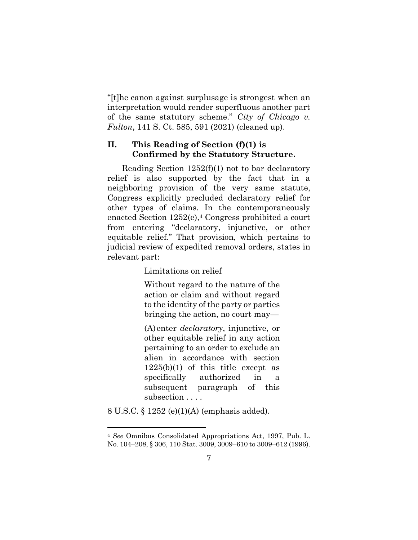"[t]he canon against surplusage is strongest when an interpretation would render superfluous another part of the same statutory scheme." *City of Chicago v. Fulton*, 141 S. Ct. 585, 591 (2021) (cleaned up).

#### <span id="page-11-0"></span>**II. This Reading of Section (f)(1) is Confirmed by the Statutory Structure.**

Reading Section 1252(f)(1) not to bar declaratory relief is also supported by the fact that in a neighboring provision of the very same statute, Congress explicitly precluded declaratory relief for other types of claims. In the contemporaneously enacted Section 1252(e), <sup>4</sup> Congress prohibited a court from entering "declaratory, injunctive, or other equitable relief." That provision, which pertains to judicial review of expedited removal orders, states in relevant part:

Limitations on relief

Without regard to the nature of the action or claim and without regard to the identity of the party or parties bringing the action, no court may—

(A)enter *declaratory*, injunctive, or other equitable relief in any action pertaining to an order to exclude an alien in accordance with section 1225(b)(1) of this title except as specifically authorized in a subsequent paragraph of this subsection . . . .

8 U.S.C. § 1252 (e)(1)(A) (emphasis added).

<sup>4</sup> *See* Omnibus Consolidated Appropriations Act, 1997, Pub. L. No. 104–208, § 306, 110 Stat. 3009, 3009–610 to 3009–612 (1996).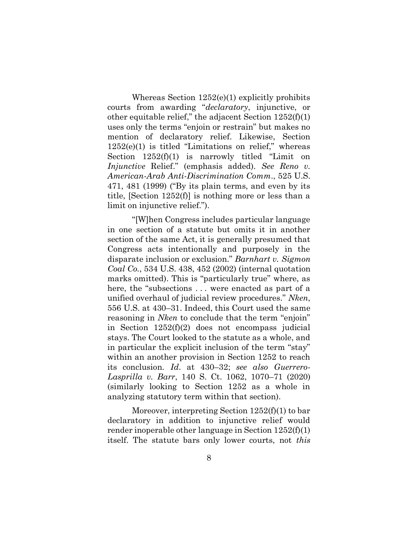Whereas Section 1252(e)(1) explicitly prohibits courts from awarding "*declaratory*, injunctive, or other equitable relief," the adjacent Section 1252(f)(1) uses only the terms "enjoin or restrain" but makes no mention of declaratory relief. Likewise, Section 1252(e)(1) is titled "Limitations on relief," whereas Section  $1252(f)(1)$  is narrowly titled "Limit on *Injunctive* Relief." (emphasis added). *See Reno v. American-Arab Anti-Discrimination Comm*., 525 U.S. 471, 481 (1999) ("By its plain terms, and even by its title, [Section 1252(f)] is nothing more or less than a limit on injunctive relief.").

"[W]hen Congress includes particular language in one section of a statute but omits it in another section of the same Act, it is generally presumed that Congress acts intentionally and purposely in the disparate inclusion or exclusion." *Barnhart v. Sigmon Coal Co.*, 534 U.S. 438, 452 (2002) (internal quotation marks omitted). This is "particularly true" where, as here, the "subsections ... were enacted as part of a unified overhaul of judicial review procedures." *Nken*, 556 U.S. at 430–31. Indeed, this Court used the same reasoning in *Nken* to conclude that the term "enjoin" in Section 1252(f)(2) does not encompass judicial stays. The Court looked to the statute as a whole, and in particular the explicit inclusion of the term "stay" within an another provision in Section 1252 to reach its conclusion. *Id*. at 430–32; *see also Guerrero-Lasprilla v. Barr*, 140 S. Ct. 1062, 1070–71 (2020) (similarly looking to Section 1252 as a whole in analyzing statutory term within that section).

Moreover, interpreting Section 1252(f)(1) to bar declaratory in addition to injunctive relief would render inoperable other language in Section 1252(f)(1) itself. The statute bars only lower courts, not *this*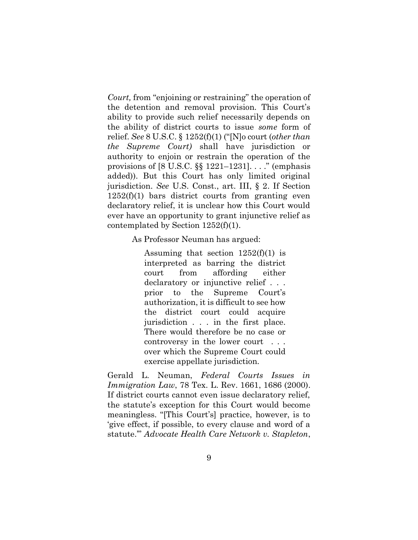*Court,* from "enjoining or restraining" the operation of the detention and removal provision. This Court's ability to provide such relief necessarily depends on the ability of district courts to issue *some* form of relief. *See* 8 U.S.C. § 1252(f)(1) ("[N]o court (*other than the Supreme Court)* shall have jurisdiction or authority to enjoin or restrain the operation of the provisions of [8 U.S.C. §§ 1221–1231]. . . ." (emphasis added)). But this Court has only limited original jurisdiction. *See* U.S. Const., art. III, § 2. If Section  $1252(f)(1)$  bars district courts from granting even declaratory relief, it is unclear how this Court would ever have an opportunity to grant injunctive relief as contemplated by Section 1252(f)(1).

As Professor Neuman has argued:

Assuming that section  $1252(f)(1)$  is interpreted as barring the district court from affording either declaratory or injunctive relief . . . prior to the Supreme Court's authorization, it is difficult to see how the district court could acquire jurisdiction . . . in the first place. There would therefore be no case or controversy in the lower court . . . over which the Supreme Court could exercise appellate jurisdiction.

Gerald L. Neuman, *Federal Courts Issues in Immigration Law*, 78 Tex. L. Rev. 1661, 1686 (2000). If district courts cannot even issue declaratory relief, the statute's exception for this Court would become meaningless. "[This Court's] practice, however, is to 'give effect, if possible, to every clause and word of a statute.'" *Advocate Health Care Network v. Stapleton*,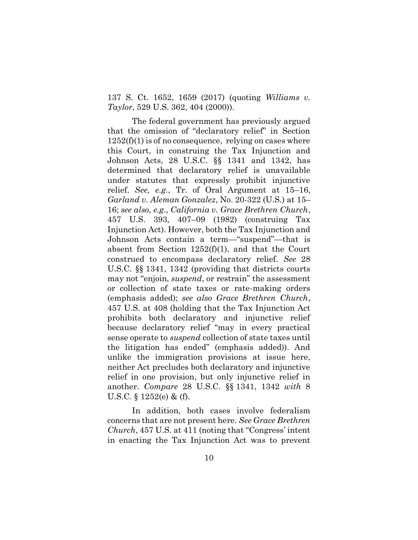137 S. Ct. 1652, 1659 (2017) (quoting *Williams v. Taylor*, 529 U.S. 362, 404 (2000)).

The federal government has previously argued that the omission of "declaratory relief" in Section  $1252(f)(1)$  is of no consequence, relying on cases where this Court, in construing the Tax Injunction and Johnson Acts, 28 U.S.C. §§ 1341 and 1342, has determined that declaratory relief is unavailable under statutes that expressly prohibit injunctive relief. *See, e.g.*, Tr. of Oral Argument at 15–16, *Garland v. Aleman Gonzalez*, No. 20-322 (U.S.) at 15– 16; *see also, e.g*., *California v. Grace Brethren Church*, 457 U.S. 393, 407–09 (1982) (construing Tax Injunction Act). However, both the Tax Injunction and Johnson Acts contain a term—"suspend"—that is absent from Section 1252(f)(1), and that the Court construed to encompass declaratory relief. *See* 28 U.S.C. §§ 1341, 1342 (providing that districts courts may not "enjoin, *suspend*, or restrain" the assessment or collection of state taxes or rate-making orders (emphasis added); *see also Grace Brethren Church*, 457 U.S. at 408 (holding that the Tax Injunction Act prohibits both declaratory and injunctive relief because declaratory relief "may in every practical sense operate to *suspend* collection of state taxes until the litigation has ended" (emphasis added)). And unlike the immigration provisions at issue here, neither Act precludes both declaratory and injunctive relief in one provision, but only injunctive relief in another. *Compare* 28 U.S.C. §§ 1341, 1342 *with* 8 U.S.C. § 1252(e) & (f).

In addition, both cases involve federalism concerns that are not present here. *See Grace Brethren Church*, 457 U.S. at 411 (noting that "Congress' intent in enacting the Tax Injunction Act was to prevent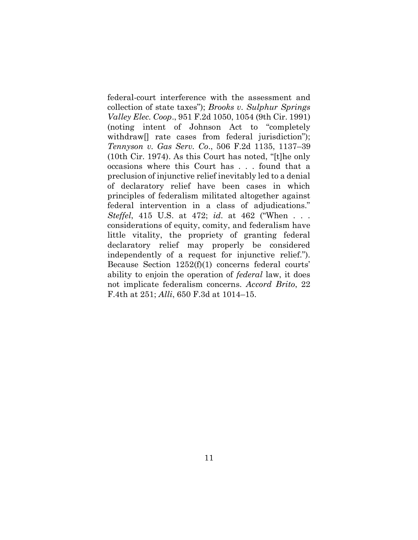federal-court interference with the assessment and collection of state taxes"); *Brooks v. Sulphur Springs Valley Elec. Coop*., 951 F.2d 1050, 1054 (9th Cir. 1991) (noting intent of Johnson Act to "completely withdraw[] rate cases from federal jurisdiction"); *Tennyson v. Gas Serv. Co*., 506 F.2d 1135, 1137–39 (10th Cir. 1974). As this Court has noted, "[t]he only occasions where this Court has . . . found that a preclusion of injunctive relief inevitably led to a denial of declaratory relief have been cases in which principles of federalism militated altogether against federal intervention in a class of adjudications." *Steffel*, 415 U.S. at 472; *id*. at 462 ("When . . . considerations of equity, comity, and federalism have little vitality, the propriety of granting federal declaratory relief may properly be considered independently of a request for injunctive relief."). Because Section 1252(f)(1) concerns federal courts' ability to enjoin the operation of *federal* law, it does not implicate federalism concerns. *Accord Brito*, 22 F.4th at 251; *Alli*, 650 F.3d at 1014–15.